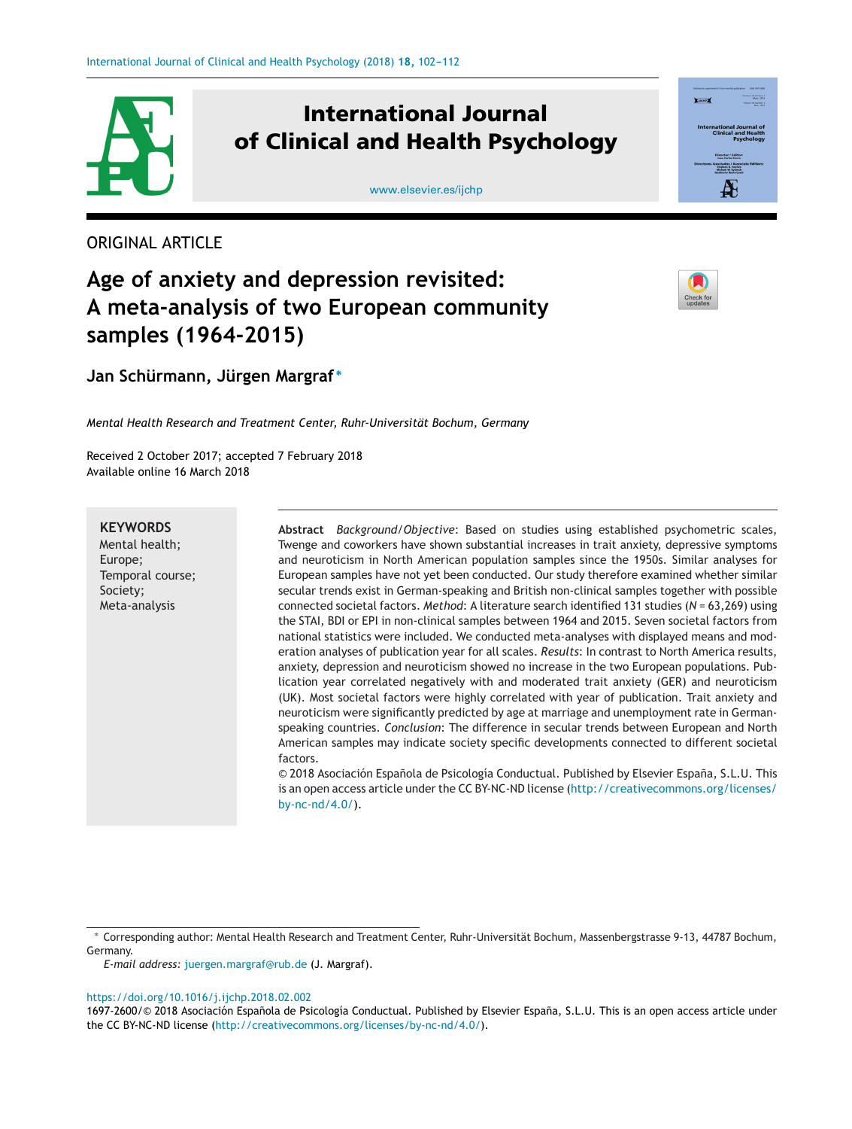

# **International Journal of Clinical and Health Psychology**



## ORIGINAL ARTICLE

# **Age of anxiety and depression revisited: A meta-analysis of two European community samples (1964-2015)**



**Jan Schürmann, Jürgen Margraf <sup>∗</sup>**

*Mental Health Research and Treatment Center, Ruhr-Universität Bochum, Germany*

Received 2 October 2017; accepted 7 February 2018 Available online 16 March 2018

**KEYWORDS** Mental health; Europe; Temporal course; Society; Meta-analysis

**Abstract** *Background/Objective*: Based on studies using established psychometric scales, Twenge and coworkers have shown substantial increases in trait anxiety, depressive symptoms and neuroticism in North American population samples since the 1950s. Similar analyses for European samples have not yet been conducted. Our study therefore examined whether similar secular trends exist in German-speaking and British non-clinical samples together with possible connected societal factors. *Method*: A literature search identified 131 studies (*N* = 63,269) using the STAI, BDI or EPI in non-clinical samples between 1964 and 2015. Seven societal factors from national statistics were included. We conducted meta-analyses with displayed means and moderation analyses of publication year for all scales. *Results*: In contrast to North America results, anxiety, depression and neuroticism showed no increase in the two European populations. Publication year correlated negatively with and moderated trait anxiety (GER) and neuroticism (UK). Most societal factors were highly correlated with year of publication. Trait anxiety and neuroticism were significantly predicted by age at marriage and unemployment rate in Germanspeaking countries. *Conclusion*: The difference in secular trends between European and North American samples may indicate society specific developments connected to different societal factors.

© 2018 Asociación Española de Psicología Conductual. Published by Elsevier España, S.L.U. This is an open access article under the CC BY-NC-ND license ([http://creativecommons.org/licenses/](http://creativecommons.org/licenses/by-nc-nd/4.0/) [by-nc-nd/4.0/\)](http://creativecommons.org/licenses/by-nc-nd/4.0/).

*E-mail address:* [juergen.margraf@rub.de](mailto:juergen.margraf@rub.de) (J. Margraf).

<https://doi.org/10.1016/j.ijchp.2018.02.002>

1697-2600/© 2018 Asociación Española de Psicología Conductual. Published by Elsevier España, S.L.U. This is an open access article under the CC BY-NC-ND license [\(http://creativecommons.org/licenses/by-nc-nd/4.0/\)](http://creativecommons.org/licenses/by-nc-nd/4.0/).

<sup>∗</sup> Corresponding author: Mental Health Research and Treatment Center, Ruhr-Universität Bochum, Massenbergstrasse 9-13, 44787 Bochum, Germany.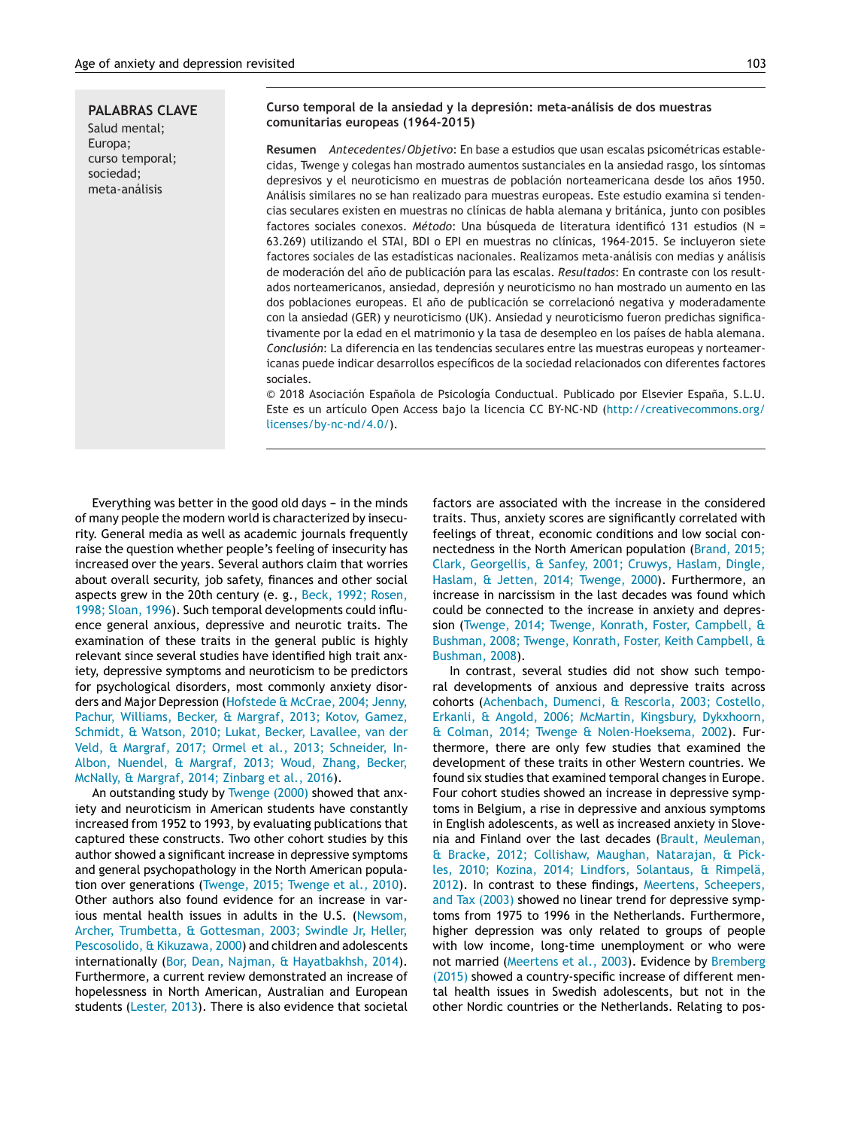**PALABRAS CLAVE** Salud mental; Europa; curso temporal; sociedad; meta-análisis

#### **Curso temporal de la ansiedad y la depresión: meta-análisis de dos muestras comunitarias europeas (1964-2015)**

**Resumen** *Antecedentes/Objetivo*: En base a estudios que usan escalas psicométricas establecidas, Twenge y colegas han mostrado aumentos sustanciales en la ansiedad rasgo, los síntomas depresivos y el neuroticismo en muestras de población norteamericana desde los años 1950. Análisis similares no se han realizado para muestras europeas. Este estudio examina si tendencias seculares existen en muestras no clínicas de habla alemana y británica, junto con posibles factores sociales conexos. *Método*: Una búsqueda de literatura identificó 131 estudios (N = 63.269) utilizando el STAI, BDI o EPI en muestras no clínicas, 1964-2015. Se incluyeron siete factores sociales de las estadísticas nacionales. Realizamos meta-análisis con medias y análisis de moderación del año de publicación para las escalas. *Resultados*: En contraste con los resultados norteamericanos, ansiedad, depresión y neuroticismo no han mostrado un aumento en las dos poblaciones europeas. El año de publicación se correlacionó negativa y moderadamente con la ansiedad (GER) y neuroticismo (UK). Ansiedad y neuroticismo fueron predichas significativamente por la edad en el matrimonio y la tasa de desempleo en los países de habla alemana. *Conclusión*: La diferencia en las tendencias seculares entre las muestras europeas y norteamericanas puede indicar desarrollos específicos de la sociedad relacionados con diferentes factores sociales.

 $\odot$  2018 Asociación Española de Psicología Conductual. Publicado por Elsevier España, S.L.U. Este es un artículo Open Access bajo la licencia CC BY-NC-ND ([http://creativecommons.org/](http://creativecommons.org/licenses/by-nc-nd/4.0/) [licenses/by-nc-nd/4.0/](http://creativecommons.org/licenses/by-nc-nd/4.0/)).

Everything was better in the good old days  $-$  in the minds of many people the modern world is characterized by insecurity. General media as well as academic journals frequently raise the question whether people's feeling of insecurity has increased over the years. Several authors claim that worries about overall security, job safety, finances and other social aspects grew in the 20th century (e. g., Beck, 1992; Rosen, 1998; Sloan, 1996). Such temporal developments could influence general anxious, depressive and neurotic traits. The examination of these traits in the general public is highly relevant since several studies have identified high trait anxiety, depressive symptoms and neuroticism to be predictors for psychological disorders, most commonly anxiety disorders and Major Depression (Hofstede & McCrae, 2004; Jenny, Pachur, Williams, Becker, & Margraf, 2013; Kotov, Gamez, Schmidt, & Watson, 2010; Lukat, Becker, Lavallee, van der Veld, & Margraf, 2017; Ormel et al., 2013; Schneider, In-Albon, Nuendel, & Margraf, 2013; Woud, Zhang, Becker, McNally, & Margraf, 2014; Zinbarg et al., 2016).

An outstanding study by [Twenge](#page-10-0) (2000) showed that anxiety and neuroticism in American students have constantly increased from 1952 to 1993, by evaluating publications that captured these constructs. Two other cohort studies by this author showed a significant increase in depressive symptoms and general psychopathology in the North American population over generations ([Twenge,](#page-10-0) 2015; Twenge et al., 2010). Other authors also found evidence for an increase in various mental health issues in adults in the U.S. (Newsom, Archer, Trumbetta, & Gottesman, 2003; Swindle Jr, Heller, Pescosolido, & Kikuzawa, 2000) and children and adolescents internationally (Bor, Dean, Najman, & [Hayatbakhsh,](#page-9-0) 2014). Furthermore, a current review demonstrated an increase of hopelessness in North American, Australian and European students [\(Lester,](#page-9-0) 2013). There is also evidence that societal factors are associated with the increase in the considered traits. Thus, anxiety scores are significantly correlated with feelings of threat, economic conditions and low social connectedness in the North American population [\(Brand,](#page-9-0) 2015; Clark, Georgellis, & Sanfey, 2001; Cruwys, Haslam, Dingle, Haslam, & Jetten, 2014; Twenge, 2000). Furthermore, an [increase](#page-9-0) in narcissism in the last decades was found which could be connected to the increase in anxiety and depression (Twenge, 2014; Twenge, Konrath, Foster, [Campbell,](#page-10-0) & Bushman, 2008; Twenge, Konrath, Foster, Keith Campbell, & Bushman, 2008).

In contrast, several studies did not show such temporal developments of anxious and depressive traits across cohorts [\(Achenbach,](#page-9-0) Dumenci, & Rescorla, 2003; Costello, Erkanli, & Angold, 2006; McMartin, Kingsbury, Dykxhoorn, & Colman, 2014; Twenge & Nolen-Hoeksema, 2002). Furthermore, there are only few studies that examined the development of these traits in other Western countries. We found six studies that examined temporal changes in Europe. Four cohort studies showed an increase in depressive symptoms in Belgium, a rise in depressive and anxious symptoms in English adolescents, as well as increased anxiety in Slove-nia and Finland over the last decades (Brault, [Meuleman,](#page-9-0) & Bracke, 2012; Collishaw, Maughan, Natarajan, & Pickles, 2010; Kozina, 2014; Lindfors, Solantaus, & Rimpelä, 2012). In contrast to these findings, Meertens, [Scheepers,](#page-9-0) and Tax (2003) showed no linear trend for depressive symptoms from 1975 to 1996 in the Netherlands. [Furthermore,](#page-10-0) higher depression was only related to groups of people with low income, long-time unemployment or who were not married [\(Meertens](#page-9-0) et al., 2003). Evidence by [Bremberg](#page-9-0) (2015) showed a country-specific increase of different mental health issues in Swedish adolescents, but not in the other Nordic countries or the Netherlands. Relating to pos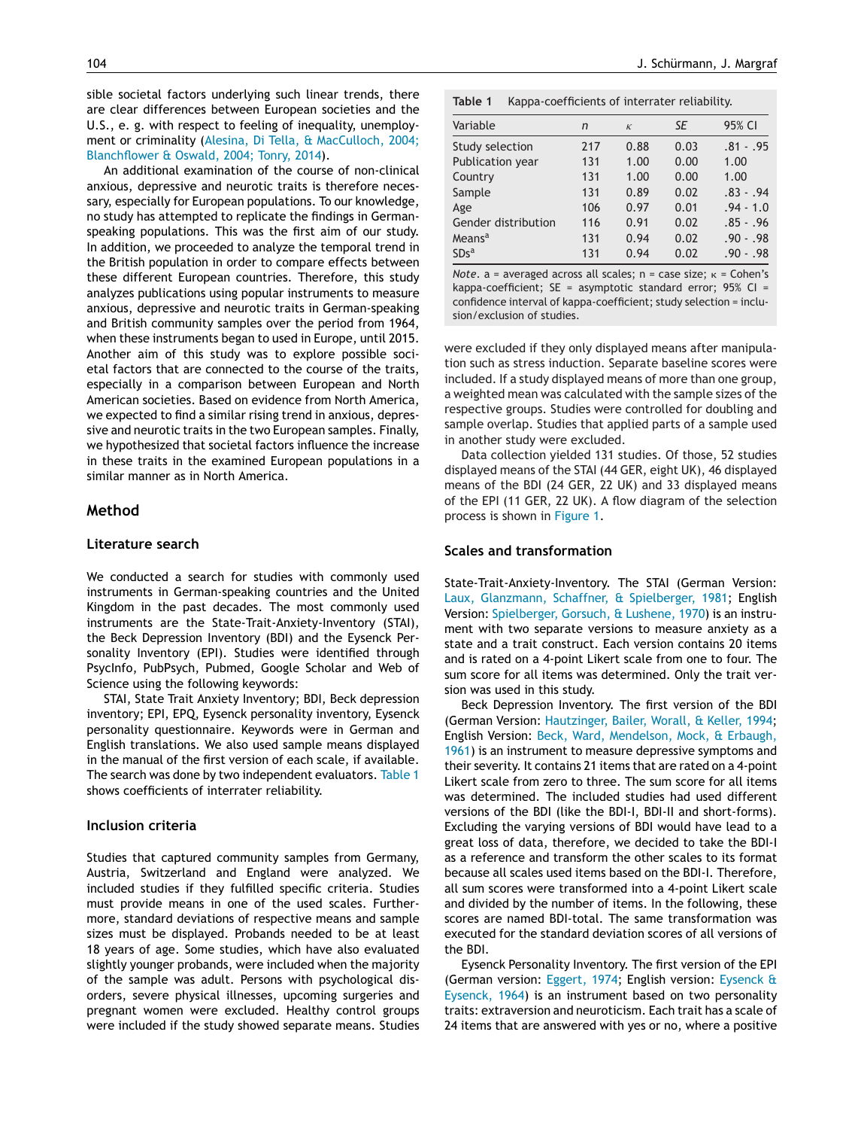sible societal factors underlying such linear trends, there are clear differences between European societies and the U.S., e. g. with respect to feeling of inequality, unemployment or criminality (Alesina, Di Tella, & [MacCulloch,](#page-9-0) 2004; Blanchflower & Oswald, 2004; Tonry, 2014).

An additional examination of the course of non-clinical anxious, depressive and neurotic traits is therefore necessary, especially for European populations. To our knowledge, no study has attempted to replicate the findings in Germanspeaking populations. This was the first aim of our study. In addition, we proceeded to analyze the temporal trend in the British population in order to compare effects between these different European countries. Therefore, this study analyzes publications using popular instruments to measure anxious, depressive and neurotic traits in German-speaking and British community samples over the period from 1964, when these instruments began to used in Europe, until 2015. Another aim of this study was to explore possible societal factors that are connected to the course of the traits, especially in a comparison between European and North American societies. Based on evidence from North America, we expected to find a similar rising trend in anxious, depressive and neurotic traits in the two European samples. Finally, we hypothesized that societal factors influence the increase in these traits in the examined European populations in a similar manner as in North America.

## **Method**

#### **Literature search**

We conducted a search for studies with commonly used instruments in German-speaking countries and the United Kingdom in the past decades. The most commonly used instruments are the State-Trait-Anxiety-Inventory (STAI), the Beck Depression Inventory (BDI) and the Eysenck Personality Inventory (EPI). Studies were identified through PsycInfo, PubPsych, Pubmed, Google Scholar and Web of Science using the following keywords:

STAI, State Trait Anxiety Inventory; BDI, Beck depression inventory; EPI, EPQ, Eysenck personality inventory, Eysenck personality questionnaire. Keywords were in German and English translations. We also used sample means displayed in the manual of the first version of each scale, if available. The search was done by two independent evaluators. Table 1 shows coefficients of interrater reliability.

#### **Inclusion criteria**

Studies that captured community samples from Germany, Austria, Switzerland and England were analyzed. We included studies if they fulfilled specific criteria. Studies must provide means in one of the used scales. Furthermore, standard deviations of respective means and sample sizes must be displayed. Probands needed to be at least 18 years of age. Some studies, which have also evaluated slightly younger probands, were included when the majority of the sample was adult. Persons with psychological disorders, severe physical illnesses, upcoming surgeries and pregnant women were excluded. Healthy control groups were included if the study showed separate means. Studies

| Table 1<br>Kappa-coefficients of interrater reliability. |     |          |      |             |
|----------------------------------------------------------|-----|----------|------|-------------|
| Variable                                                 | n   | $\kappa$ | SE   | 95% CI      |
| Study selection                                          | 217 | 0.88     | 0.03 | $.81-.95$   |
| Publication year                                         | 131 | 1.00     | 0.00 | 1.00        |
| Country                                                  | 131 | 1.00     | 0.00 | 1.00        |
| Sample                                                   | 131 | 0.89     | 0.02 | $.83 - .94$ |
| Age                                                      | 106 | 0.97     | 0.01 | $.94 - 1.0$ |
| Gender distribution                                      | 116 | 0.91     | 0.02 | $.85-.96$   |
| Means <sup>a</sup>                                       | 131 | 0.94     | 0.02 | $.90 - .98$ |
| SDs <sup>a</sup>                                         | 131 | 0.94     | 0.02 | $.90 - .98$ |

*Note*.  $a =$  averaged across all scales;  $n =$  case size;  $\kappa =$  Cohen's kappa-coefficient; SE = asymptotic standard error;  $95\%$  CI = confidence interval of kappa-coefficient; study selection = inclusion/exclusion of studies.

were excluded if they only displayed means after manipulation such as stress induction. Separate baseline scores were included. If a study displayed means of more than one group, a weighted mean was calculated with the sample sizes of the respective groups. Studies were controlled for doubling and sample overlap. Studies that applied parts of a sample used in another study were excluded.

Data collection yielded 131 studies. Of those, 52 studies displayed means of the STAI (44 GER, eight UK), 46 displayed means of the BDI (24 GER, 22 UK) and 33 displayed means of the EPI (11 GER, 22 UK). A flow diagram of the selection process is shown in [Figure](#page-3-0) 1.

## **Scales and transformation**

State-Trait-Anxiety-Inventory. The STAI (German Version: Laux, [Glanzmann,](#page-9-0) Schaffner, & Spielberger, 1981; English Version: [Spielberger,](#page-10-0) Gorsuch, & Lushene, 1970) is an instrument with two separate versions to measure anxiety as a state and a trait construct. Each version contains 20 items and is rated on a 4-point Likert scale from one to four. The sum score for all items was determined. Only the trait version was used in this study.

Beck Depression Inventory. The first version of the BDI (German Version: [Hautzinger,](#page-9-0) Bailer, Worall, & Keller, 1994; English Version: Beck, Ward, [Mendelson,](#page-9-0) Mock, & Erbaugh, 1961) is an instrument to measure depressive symptoms and their severity. It contains 21 items that are rated on a 4-point Likert scale from zero to three. The sum score for all items was determined. The included studies had used different versions of the BDI (like the BDI-I, BDI-II and short-forms). Excluding the varying versions of BDI would have lead to a great loss of data, therefore, we decided to take the BDI-I as a reference and transform the other scales to its format because all scales used items based on the BDI-I. Therefore, all sum scores were transformed into a 4-point Likert scale and divided by the number of items. In the following, these scores are named BDI-total. The same transformation was executed for the standard deviation scores of all versions of the BDI.

Eysenck Personality Inventory. The first version of the EPI (German version: [Eggert,](#page-9-0) 1974; English version: [Eysenck](#page-9-0) & Eysenck, 1964) is an instrument based on two personality traits: extraversion and neuroticism. Each trait has a scale of 24 items that are answered with yes or no, where a positive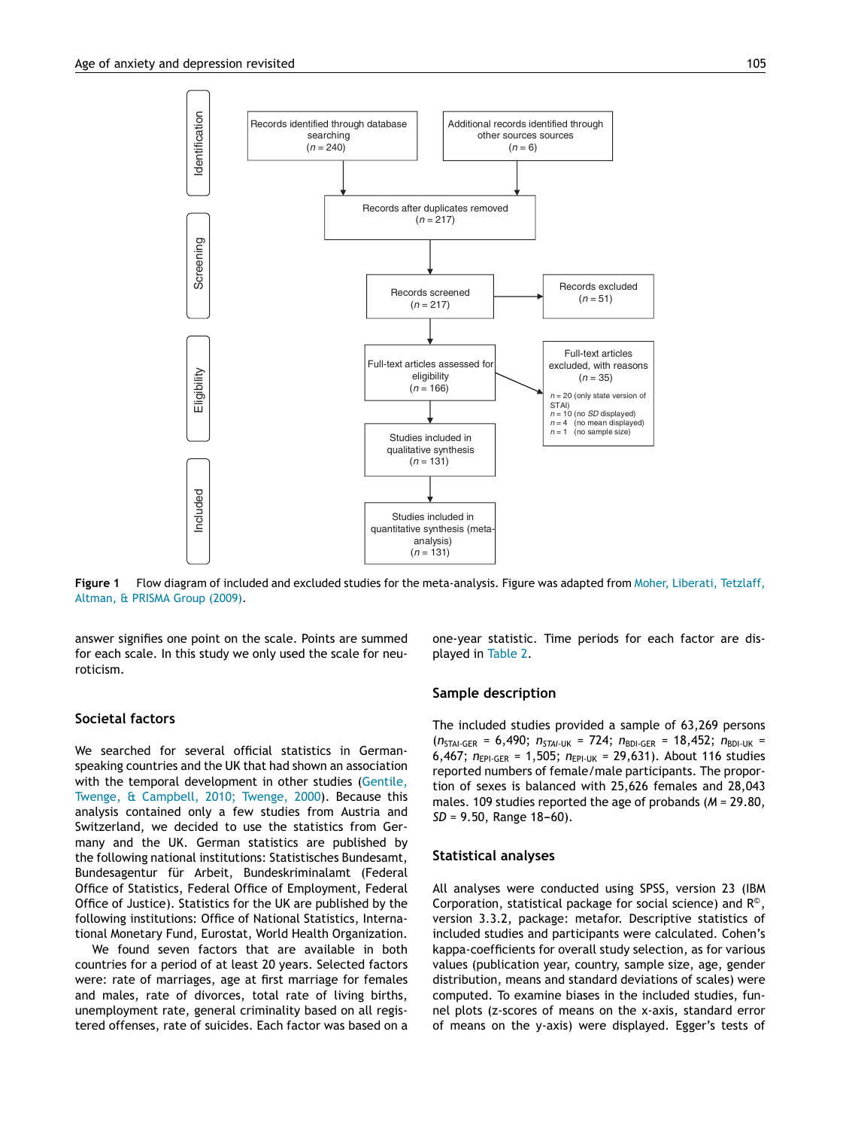<span id="page-3-0"></span>

**Figure 1** Flow diagram of included and excluded studies for the meta-analysis. Figure was adapted from Moher, [Liberati,](#page-9-0) Tetzlaff, Altman, & PRISMA Group (2009).

answer signifies one point on the scale. Points are summed for each scale. In this study we only used the scale for neuroticism.

### **Societal factors**

We searched for several official statistics in Germanspeaking countries and the UK that had shown an association with the temporal development in other studies ([Gentile,](#page-9-0) Twenge, & Campbell, 2010; Twenge, 2000). Because this analysis contained only a few studies from Austria and Switzerland, we decided to use the statistics from Germany and the UK. German statistics are published by the following national institutions: Statistisches Bundesamt, Bundesagentur für Arbeit, Bundeskriminalamt (Federal Office of Statistics, Federal Office of Employment, Federal Office of Justice). Statistics for the UK are published by the following institutions: Office of National Statistics, International Monetary Fund, Eurostat, World Health Organization.

We found seven factors that are available in both countries for a period of at least 20 years. Selected factors were: rate of marriages, age at first marriage for females and males, rate of divorces, total rate of living births, unemployment rate, general criminality based on all registered offenses, rate of suicides. Each factor was based on a one-year statistic. Time periods for each factor are displayed in [Table](#page-4-0) 2.

#### **Sample description**

The included studies provided a sample of 63,269 persons (*n*STAI-GER = 6,490; *nSTAI-*UK = 724; *n*BDI-GER = 18,452; *n*BDI-UK = 6,467; *n*EPI-GER = 1,505; *n*EPI-UK = 29,631). About 116 studies reported numbers of female/male participants. The proportion of sexes is balanced with 25,626 females and 28,043 males. 109 studies reported the age of probands (*M* = 29.80,  $SD = 9.50$ , Range  $18-60$ ).

#### **Statistical analyses**

All analyses were conducted using SPSS, version 23 (IBM Corporation, statistical package for social science) and R©, version 3.3.2, package: metafor. Descriptive statistics of included studies and participants were calculated. Cohen's kappa-coefficients for overall study selection, as for various values (publication year, country, sample size, age, gender distribution, means and standard deviations of scales) were computed. To examine biases in the included studies, funnel plots (z-scores of means on the x-axis, standard error of means on the y-axis) were displayed. Egger's tests of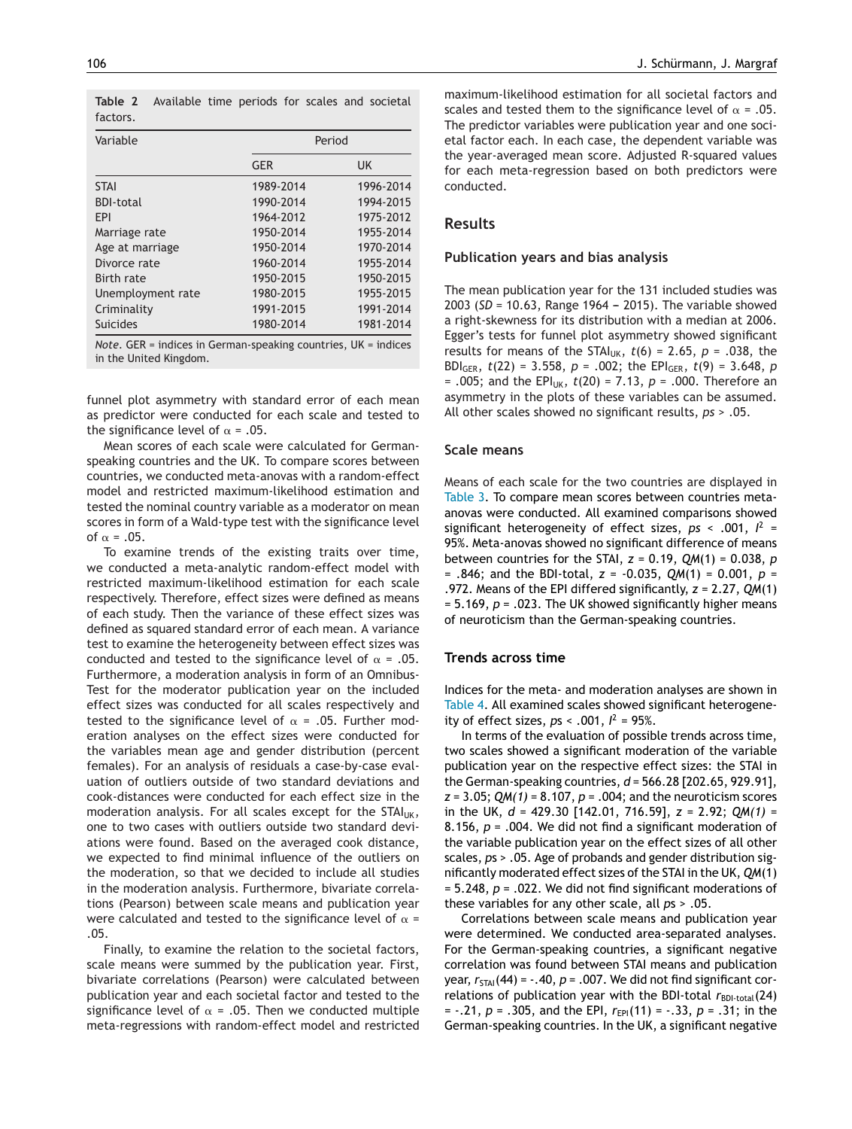<span id="page-4-0"></span>

|          | Table 2 Available time periods for scales and societal |  |  |  |
|----------|--------------------------------------------------------|--|--|--|
| factors. |                                                        |  |  |  |

| Variable          |            | Period    |
|-------------------|------------|-----------|
|                   | <b>GER</b> | UK        |
| <b>STAI</b>       | 1989-2014  | 1996-2014 |
| <b>BDI-total</b>  | 1990-2014  | 1994-2015 |
| <b>FPI</b>        | 1964-2012  | 1975-2012 |
| Marriage rate     | 1950-2014  | 1955-2014 |
| Age at marriage   | 1950-2014  | 1970-2014 |
| Divorce rate      | 1960-2014  | 1955-2014 |
| <b>Birth rate</b> | 1950-2015  | 1950-2015 |
| Unemployment rate | 1980-2015  | 1955-2015 |
| Criminality       | 1991-2015  | 1991-2014 |
| <b>Suicides</b>   | 1980-2014  | 1981-2014 |

*Note*. GER = indices in German-speaking countries, UK = indices in the United Kingdom.

funnel plot asymmetry with standard error of each mean as predictor were conducted for each scale and tested to the significance level of  $\alpha$  = .05.

Mean scores of each scale were calculated for Germanspeaking countries and the UK. To compare scores between countries, we conducted meta-anovas with a random-effect model and restricted maximum-likelihood estimation and tested the nominal country variable as a moderator on mean scores in form of a Wald-type test with the significance level of  $\alpha = .05$ .

To examine trends of the existing traits over time, we conducted a meta-analytic random-effect model with restricted maximum-likelihood estimation for each scale respectively. Therefore, effect sizes were defined as means of each study. Then the variance of these effect sizes was defined as squared standard error of each mean. A variance test to examine the heterogeneity between effect sizes was conducted and tested to the significance level of  $\alpha = .05$ . Furthermore, a moderation analysis in form of an Omnibus-Test for the moderator publication year on the included effect sizes was conducted for all scales respectively and tested to the significance level of  $\alpha$  = .05. Further moderation analyses on the effect sizes were conducted for the variables mean age and gender distribution (percent females). For an analysis of residuals a case-by-case evaluation of outliers outside of two standard deviations and cook-distances were conducted for each effect size in the moderation analysis. For all scales except for the  $STAI<sub>UK</sub>$ , one to two cases with outliers outside two standard deviations were found. Based on the averaged cook distance, we expected to find minimal influence of the outliers on the moderation, so that we decided to include all studies in the moderation analysis. Furthermore, bivariate correlations (Pearson) between scale means and publication year were calculated and tested to the significance level of  $\alpha$  = .05.

Finally, to examine the relation to the societal factors, scale means were summed by the publication year. First, bivariate correlations (Pearson) were calculated between publication year and each societal factor and tested to the significance level of  $\alpha$  = .05. Then we conducted multiple meta-regressions with random-effect model and restricted

maximum-likelihood estimation for all societal factors and scales and tested them to the significance level of  $\alpha$  = .05. The predictor variables were publication year and one societal factor each. In each case, the dependent variable was the year-averaged mean score. Adjusted R-squared values for each meta-regression based on both predictors were conducted.

## **Results**

#### **Publication years and bias analysis**

The mean publication year for the 131 included studies was 2003 (*SD* = 10.63, Range 1964 – 2015). The variable showed a right-skewness for its distribution with a median at 2006. Egger's tests for funnel plot asymmetry showed significant results for means of the STAI<sub>UK</sub>,  $t(6) = 2.65$ ,  $p = .038$ , the BDI<sub>GER</sub>,  $t(22) = 3.558$ ,  $p = .002$ ; the EPI<sub>GER</sub>,  $t(9) = 3.648$ ,  $p$  $= .005$ ; and the EPI<sub>UK</sub>,  $t(20) = 7.13$ ,  $p = .000$ . Therefore an asymmetry in the plots of these variables can be assumed. All other scales showed no significant results, *ps* > .05.

#### **Scale means**

Means of each scale for the two countries are displayed in [Table](#page-5-0) 3. To compare mean scores between countries metaanovas were conducted. All examined comparisons showed significant heterogeneity of effect sizes, *ps* < .001, *I* <sup>2</sup> = 95%. Meta-anovas showed no significant difference of means between countries for the STAI, *z* = 0.19, *QM*(1) = 0.038, *p* = .846; and the BDI-total, *z* = -0.035, *QM*(1) = 0.001, *p* = .972. Means of the EPI differed significantly, *z* = 2.27, *QM*(1) = 5.169, *p* = .023. The UK showed significantly higher means of neuroticism than the German-speaking countries.

#### **Trends across time**

Indices for the meta- and moderation analyses are shown in [Table](#page-5-0) 4. All examined scales showed significant heterogeneity of effect sizes,  $ps < .001$ ,  $l^2 = 95\%$ .

In terms of the evaluation of possible trends across time, two scales showed a significant moderation of the variable publication year on the respective effect sizes: the STAI in the German-speaking countries, *d* = 566.28 [202.65, 929.91], *z* = 3.05; *QM(1)* = 8.107, *p* = .004; and the neuroticism scores in the UK, *d* = 429.30 [142.01, 716.59], *z* = 2.92; *QM(1)* = 8.156, *p* = .004. We did not find a significant moderation of the variable publication year on the effect sizes of all other scales, *p*s > .05. Age of probands and gender distribution significantly moderated effect sizes ofthe STAI in the UK, *QM*(1) = 5.248, *p* = .022. We did not find significant moderations of these variables for any other scale, all *p*s > .05.

Correlations between scale means and publication year were determined. We conducted area-separated analyses. For the German-speaking countries, a significant negative correlation was found between STAI means and publication year,  $r_{\text{STA}}(44) = -.40$ ,  $p = .007$ . We did not find significant correlations of publication year with the BDI-total  $r_{BD-total}(24)$ = .21, *p* = .305, and the EPI,  $r_{EPI}(11)$  = .33, *p* = .31; in the German-speaking countries. In the UK, a significant negative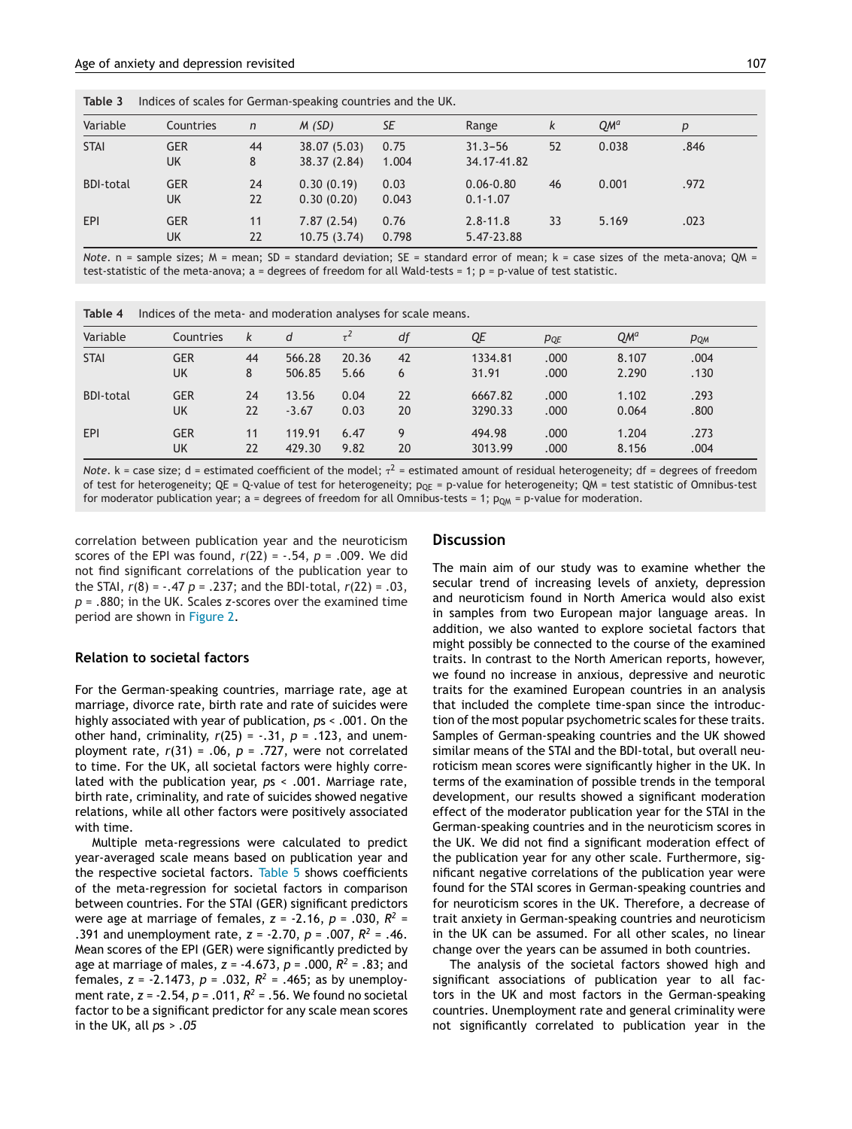<span id="page-5-0"></span>

| Table 3          |                         |          | Indices of scales for German-speaking countries and the UK. |               |                               |    |        |      |  |
|------------------|-------------------------|----------|-------------------------------------------------------------|---------------|-------------------------------|----|--------|------|--|
| Variable         | Countries               | n        | M(SD)                                                       | SE            | Range                         | k  | $QM^a$ | р    |  |
| <b>STAI</b>      | <b>GER</b><br><b>UK</b> | 44<br>8  | 38.07 (5.03)<br>38.37 (2.84)                                | 0.75<br>1.004 | $31.3 - 56$<br>34.17-41.82    | 52 | 0.038  | .846 |  |
| <b>BDI-total</b> | <b>GER</b><br><b>UK</b> | 24<br>22 | 0.30(0.19)<br>0.30(0.20)                                    | 0.03<br>0.043 | $0.06 - 0.80$<br>$0.1 - 1.07$ | 46 | 0.001  | .972 |  |
| <b>EPI</b>       | <b>GER</b><br><b>UK</b> | 11<br>22 | 7.87(2.54)<br>10.75(3.74)                                   | 0.76<br>0.798 | $2.8 - 11.8$<br>5.47-23.88    | 33 | 5.169  | .023 |  |

*Note*. n = sample sizes; M = mean; SD = standard deviation; SE = standard error of mean; k = case sizes of the meta-anova; QM = test-statistic of the meta-anova; a = degrees of freedom for all Wald-tests = 1; p = p-value of test statistic.

**Table 4** Indices of the meta- and moderation analyses for scale means. Variable Countries *k d <sup>2</sup> df QE pQE QM<sup>a</sup> pQM* STAI GER UK 44 8 566.28 506.85 20.36 5.66 42 6 1334.81 31.91 .000 .000 8.107 2.290 .004 .130 BDI-total GER UK 24 22 13.56 -3.67 0.04 0.03 22 20 6667.82 3290.33 .000 .000 1.102 0.064 .293 .800 EPI GER UK 11  $22$ 119.91 429.30 6.47 9.82 9  $20$ 494.98 3013.99  $000$ .000 1.204 8.156 .273 .004

*Note*. k = case size; d = estimated coefficient of the model;  $\tau^2$  = estimated amount of residual heterogeneity; df = degrees of freedom of test for heterogeneity; QE = Q-value of test for heterogeneity;  $p_{OE}$  = p-value for heterogeneity; QM = test statistic of Omnibus-test for moderator publication year;  $a =$  degrees of freedom for all Omnibus-tests = 1;  $p_{QM} = p$ -value for moderation.

correlation between publication year and the neuroticism scores of the EPI was found, *r*(22) = -.54, *p* = .009. We did not find significant correlations of the publication year to the STAI, *r*(8) = -.47 *p* = .237; and the BDI-total, *r*(22) = .03, *p* = .880; in the UK. Scales *z*-scores over the examined time period are shown in [Figure](#page-6-0) 2.

#### **Relation to societal factors**

For the German-speaking countries, marriage rate, age at marriage, divorce rate, birth rate and rate of suicides were highly associated with year of publication, *p*s < .001. On the other hand, criminality,  $r(25) = -.31$ ,  $p = .123$ , and unemployment rate, *r*(31) = .06, *p* = .727, were not correlated to time. For the UK, all societal factors were highly correlated with the publication year, *p*s < .001. Marriage rate, birth rate, criminality, and rate of suicides showed negative relations, while all other factors were positively associated with time.

Multiple meta-regressions were calculated to predict year-averaged scale means based on publication year and the respective societal factors. [Table](#page-7-0) 5 shows coefficients of the meta-regression for societal factors in comparison between countries. For the STAI (GER) significant predictors were age at marriage of females, *z* = -2.16, *p* = .030, *R<sup>2</sup>* = .391 and unemployment rate, *z* = -2.70, *p* = .007, *R<sup>2</sup>* = .46. Mean scores of the EPI (GER) were significantly predicted by age at marriage of males, *z* = -4.673, *p* = .000, *R<sup>2</sup>* = .83; and females,  $z = -2.1473$ ,  $p = .032$ ,  $R^2 = .465$ ; as by unemployment rate, *z* = -2.54, *p* = .011, *R<sup>2</sup>* = .56. We found no societal factor to be a significant predictor for any scale mean scores in the UK, all *p*s *> .05*

## **Discussion**

The main aim of our study was to examine whether the secular trend of increasing levels of anxiety, depression and neuroticism found in North America would also exist in samples from two European major language areas. In addition, we also wanted to explore societal factors that might possibly be connected to the course of the examined traits. In contrast to the North American reports, however, we found no increase in anxious, depressive and neurotic traits for the examined European countries in an analysis that included the complete time-span since the introduction of the most popular psychometric scales for these traits. Samples of German-speaking countries and the UK showed similar means of the STAI and the BDI-total, but overall neuroticism mean scores were significantly higher in the UK. In terms of the examination of possible trends in the temporal development, our results showed a significant moderation effect of the moderator publication year for the STAI in the German-speaking countries and in the neuroticism scores in the UK. We did not find a significant moderation effect of the publication year for any other scale. Furthermore, significant negative correlations of the publication year were found for the STAI scores in German-speaking countries and for neuroticism scores in the UK. Therefore, a decrease of trait anxiety in German-speaking countries and neuroticism in the UK can be assumed. For all other scales, no linear change over the years can be assumed in both countries.

The analysis of the societal factors showed high and significant associations of publication year to all factors in the UK and most factors in the German-speaking countries. Unemployment rate and general criminality were not significantly correlated to publication year in the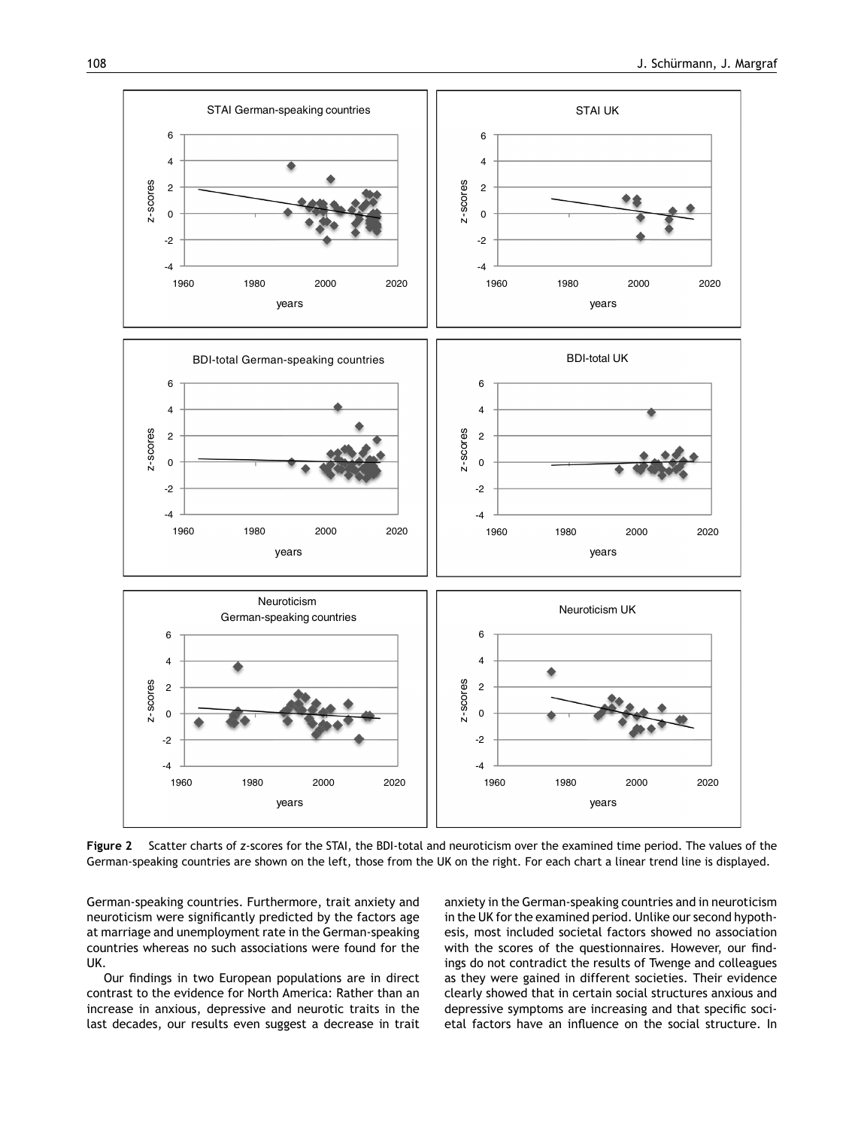<span id="page-6-0"></span>

**Figure 2** Scatter charts of *z*-scores for the STAI, the BDI-total and neuroticism over the examined time period. The values of the German-speaking countries are shown on the left, those from the UK on the right. For each chart a linear trend line is displayed.

German-speaking countries. Furthermore, trait anxiety and neuroticism were significantly predicted by the factors age at marriage and unemployment rate in the German-speaking countries whereas no such associations were found for the UK.

Our findings in two European populations are in direct contrast to the evidence for North America: Rather than an increase in anxious, depressive and neurotic traits in the last decades, our results even suggest a decrease in trait

anxiety in the German-speaking countries and in neuroticism in the UK for the examined period. Unlike our second hypothesis, most included societal factors showed no association with the scores of the questionnaires. However, our findings do not contradict the results of Twenge and colleagues as they were gained in different societies. Their evidence clearly showed that in certain social structures anxious and depressive symptoms are increasing and that specific societal factors have an influence on the social structure. In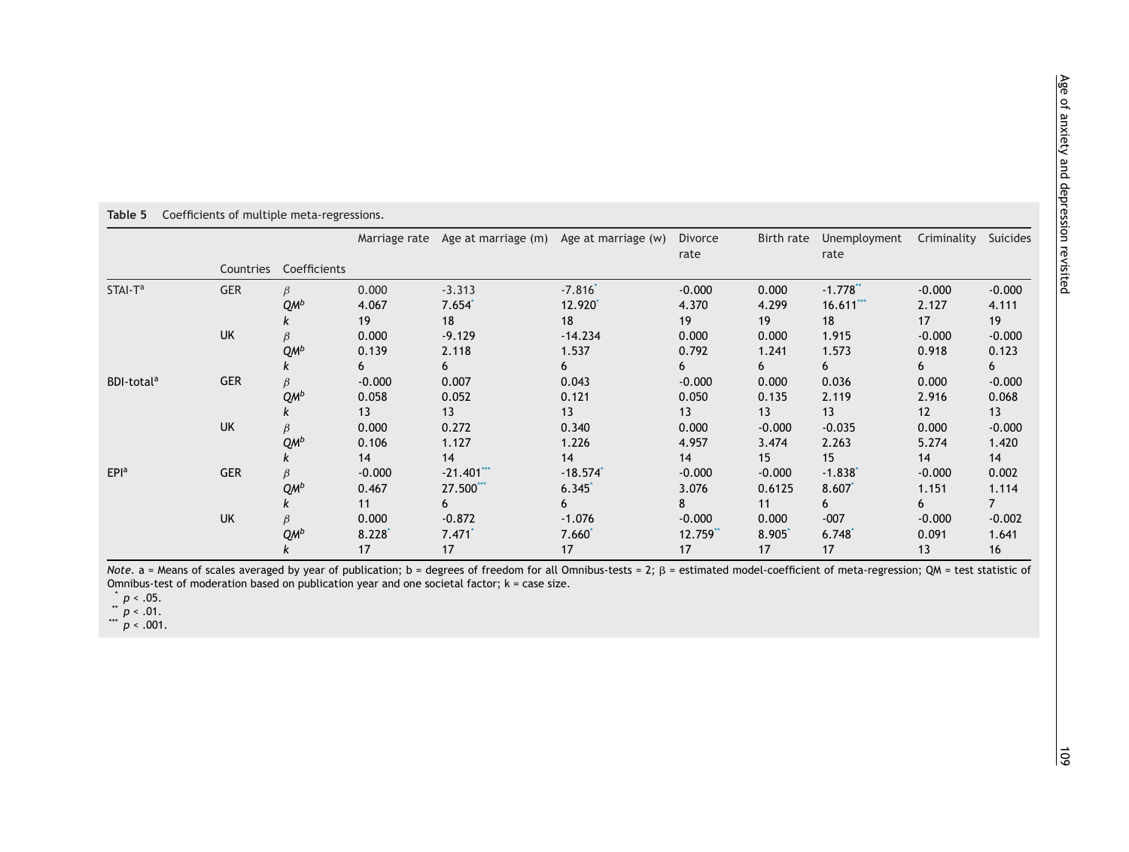<span id="page-7-0"></span>

| Coefficients<br>Countries<br>$\beta$<br>$QM^b$ |                                                       |                      |                           | Divorce<br>rate                      |                  | Birth rate Unemployment<br>rate | Criminality Suicides |                                                                                                                                                                                                                          |
|------------------------------------------------|-------------------------------------------------------|----------------------|---------------------------|--------------------------------------|------------------|---------------------------------|----------------------|--------------------------------------------------------------------------------------------------------------------------------------------------------------------------------------------------------------------------|
|                                                |                                                       |                      |                           |                                      |                  |                                 |                      |                                                                                                                                                                                                                          |
|                                                | 0.000                                                 | $-3.313$             | $-7.816$                  | $-0.000$                             | 0.000            | $-1.778$ **                     | $-0.000$             | $-0.000$                                                                                                                                                                                                                 |
|                                                | 4.067                                                 | $7.654*$             | 12.920                    | 4.370                                | 4.299            | $16.611***$                     | 2.127                | 4.111                                                                                                                                                                                                                    |
| k                                              | 19                                                    | $18\,$               | 18                        | 19                                   | 19               | 18                              | 17                   | 19                                                                                                                                                                                                                       |
| $\beta$                                        | 0.000                                                 | $-9.129$             | $-14.234$                 | 0.000                                | 0.000            | 1.915                           | $-0.000$             | $-0.000$                                                                                                                                                                                                                 |
| $QM^b$                                         | 0.139                                                 | 2.118                | 1.537                     | 0.792                                | 1.241            | 1.573                           | 0.918                | 0.123                                                                                                                                                                                                                    |
| k                                              | 6                                                     | 6                    | 6                         | 6                                    | 6                | 6                               | 6                    | 6                                                                                                                                                                                                                        |
| $\beta$                                        | $-0.000$                                              | 0.007                | 0.043                     | $-0.000$                             | 0.000            | 0.036                           | 0.000                | $-0.000$                                                                                                                                                                                                                 |
|                                                | 0.058                                                 | 0.052                | 0.121                     | 0.050                                | 0.135            | 2.119                           | 2.916                | 0.068                                                                                                                                                                                                                    |
| $\boldsymbol{k}$                               | 13                                                    | 13                   | 13                        | 13                                   | 13               | 13                              | 12                   | 13                                                                                                                                                                                                                       |
| $\beta$                                        | 0.000                                                 | 0.272                | 0.340                     | 0.000                                | $-0.000$         | $-0.035$                        | 0.000                | $-0.000$                                                                                                                                                                                                                 |
| $QM^b$                                         | 0.106                                                 | 1.127                | 1.226                     | 4.957                                | 3.474            | 2.263                           | 5.274                | 1.420                                                                                                                                                                                                                    |
| k                                              | 14                                                    | 14                   | 14                        | 14                                   | 15               | 15                              | 14                   | 14                                                                                                                                                                                                                       |
|                                                | $-0.000$                                              | $-21.401***$         | $-18.574$ *               | $-0.000$                             | $-0.000$         | $-1.838$ <sup>*</sup>           | $-0.000$             | 0.002                                                                                                                                                                                                                    |
|                                                | 0.467                                                 | 27.500***            |                           | 3.076                                | 0.6125           | 8.607                           | 1.151                | 1.114                                                                                                                                                                                                                    |
| k                                              | 11                                                    | 6                    | 6                         | 8                                    | 11               | 6                               | 6                    | $\overline{7}$                                                                                                                                                                                                           |
|                                                |                                                       |                      |                           | $-0.000$                             | 0.000            | $-007$                          |                      | $-0.002$                                                                                                                                                                                                                 |
|                                                |                                                       |                      |                           |                                      |                  |                                 |                      | 1.641                                                                                                                                                                                                                    |
|                                                |                                                       |                      |                           |                                      |                  |                                 |                      | 16                                                                                                                                                                                                                       |
| GER<br><b>GER</b>                              | $QM^b$<br>$\beta$<br>$QM^b$<br>$\beta$<br>$QM^b$<br>k | 0.000<br>8.228<br>17 | $-0.872$<br>7.471<br>$17$ | 6.345<br>$-1.076$<br>$7.660^*$<br>17 | 12.759**<br>$17$ | 8.905<br>$17$                   | 6.748<br>17          | $-0.000$<br>0.091<br>13<br>Note. a = Means of scales averaged by year of publication; b = degrees of freedom for all Omnibus-tests = 2; $\beta$ = estimated model-coefficient of meta-regression; QM = test statistic of |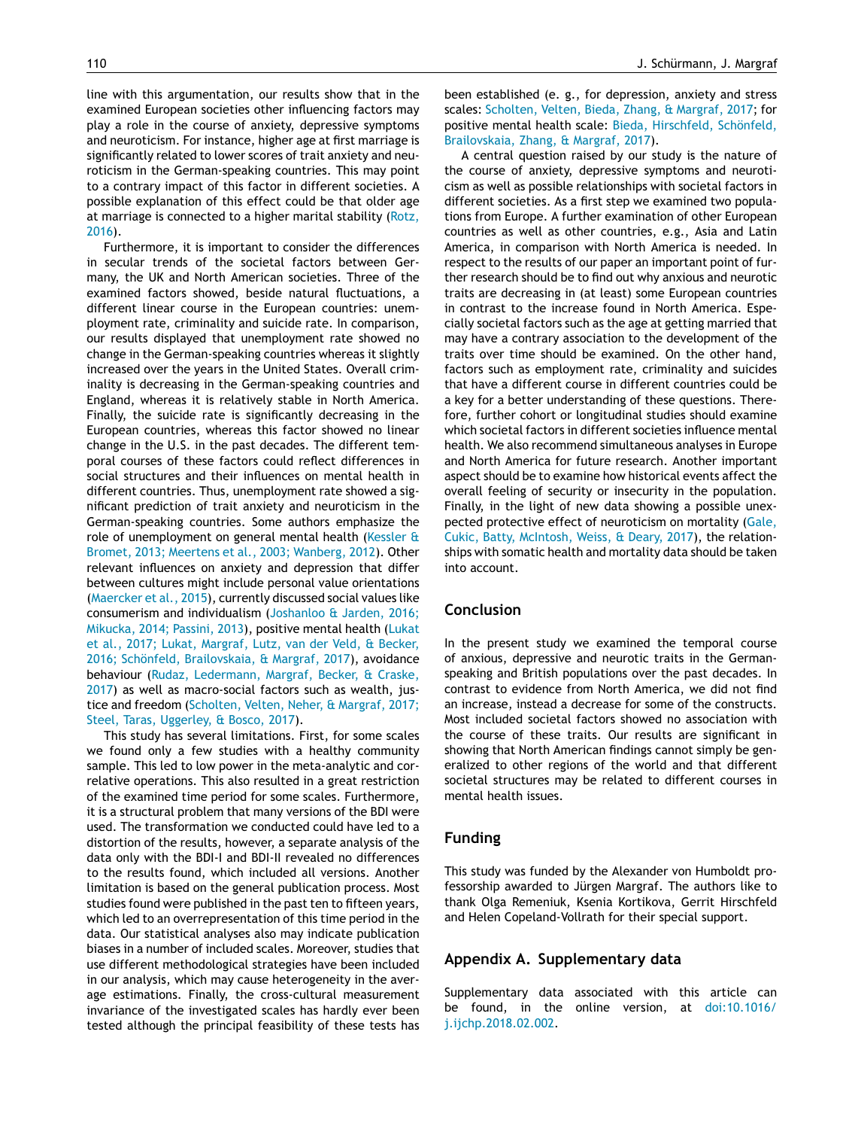line with this argumentation, our results show that in the examined European societies other influencing factors may play a role in the course of anxiety, depressive symptoms and neuroticism. For instance, higher age at first marriage is significantly related to lower scores of trait anxiety and neuroticism in the German-speaking countries. This may point to a contrary impact of this factor in different societies. A possible explanation of this effect could be that older age at marriage is connected to a higher marital stability [\(Rotz,](#page-10-0) 2016).

Furthermore, it is important to consider the differences in secular trends of the societal factors between Germany, the UK and North American societies. Three of the examined factors showed, beside natural fluctuations, a different linear course in the European countries: unemployment rate, criminality and suicide rate. In comparison, our results displayed that unemployment rate showed no change in the German-speaking countries whereas it slightly increased over the years in the United States. Overall criminality is decreasing in the German-speaking countries and England, whereas it is relatively stable in North America. Finally, the suicide rate is significantly decreasing in the European countries, whereas this factor showed no linear change in the U.S. in the past decades. The different temporal courses of these factors could reflect differences in social structures and their influences on mental health in different countries. Thus, unemployment rate showed a significant prediction of trait anxiety and neuroticism in the German-speaking countries. Some authors emphasize the role of unemployment on general mental health (Kessler & Bromet, 2013; Meertens et al., 2003; Wanberg, 2012). Other relevant influences on anxiety and depression that differ between cultures might include personal value orientations [\(Maercker](#page-9-0) et al., 2015), currently discussed social values like consumerism and individualism (Joshanloo & Jarden, 2016; Mikucka, 2014; Passini, 2013), positive mental health ([Lukat](#page-9-0) et al., 2017; Lukat, Margraf, Lutz, van der Veld, & Becker, 2016; Schönfeld, Brailovskaia, & Margraf, 2017), avoidance behaviour (Rudaz, [Ledermann,](#page-10-0) Margraf, Becker, & Craske, 2017) as well as macro-social factors such as wealth, justice and freedom ([Scholten,](#page-10-0) Velten, Neher, & Margraf, 2017; Steel, Taras, Uggerley, & Bosco, 2017).

This study has several limitations. First, for some scales we found only a few studies with a healthy community sample. This led to low power in the meta-analytic and correlative operations. This also resulted in a great restriction of the examined time period for some scales. Furthermore, it is a structural problem that many versions of the BDI were used. The transformation we conducted could have led to a distortion of the results, however, a separate analysis of the data only with the BDI-I and BDI-II revealed no differences to the results found, which included all versions. Another limitation is based on the general publication process. Most studies found were published in the past ten to fifteen years, which led to an overrepresentation of this time period in the data. Our statistical analyses also may indicate publication biases in a number of included scales. Moreover, studies that use different methodological strategies have been included in our analysis, which may cause heterogeneity in the average estimations. Finally, the cross-cultural measurement invariance of the investigated scales has hardly ever been tested although the principal feasibility of these tests has been established (e. g., for depression, anxiety and stress scales: [Scholten,](#page-10-0) Velten, Bieda, Zhang, & Margraf, 2017; for positive mental health scale: Bieda, [Hirschfeld,](#page-9-0) Schönfeld, Brailovskaia, Zhang, & Margraf, 2017).

A central question raised by our study is the nature of the course of anxiety, depressive symptoms and neuroticism as well as possible relationships with societal factors in different societies. As a first step we examined two populations from Europe. A further examination of other European countries as well as other countries, e.g., Asia and Latin America, in comparison with North America is needed. In respect to the results of our paper an important point of further research should be to find out why anxious and neurotic traits are decreasing in (at least) some European countries in contrast to the increase found in North America. Especially societal factors such as the age at getting married that may have a contrary association to the development of the traits over time should be examined. On the other hand, factors such as employment rate, criminality and suicides that have a different course in different countries could be a key for a better understanding of these questions. Therefore, further cohort or longitudinal studies should examine which societal factors in different societies influence mental health. We also recommend simultaneous analyses in Europe and North America for future research. Another important aspect should be to examine how historical events affect the overall feeling of security or insecurity in the population. Finally, in the light of new data showing a possible unexpected protective effect of neuroticism on mortality [\(Gale,](#page-9-0) Cukic, Batty, [McIntosh,](#page-9-0) Weiss, & Deary, 2017), the relationships with somatic health and mortality data should be taken into account.

## **[Conclusion](#page-9-0)**

In the present study we examined the temporal course of anxious, depressive and neurotic traits in the Germanspeaking and British populations over the past decades. In contrast to evidence from North America, we did not find an increase, instead a decrease for some of the constructs. Most included societal factors showed no association with the course of these traits. Our results are significant in showing that North American findings cannot simply be generalized to other regions of the world and that different societal structures may be related to different courses in mental health issues.

## **Funding**

This study was funded by the Alexander von Humboldt professorship awarded to Jürgen Margraf. The authors like to thank Olga Remeniuk, Ksenia Kortikova, Gerrit Hirschfeld and Helen Copeland-Vollrath for their special support.

## **Appendix A. Supplementary data**

Supplementary data associated with this article can be found, in the online version, at [doi:10.1016/](http://dx.doi.org/10.1016/j.ijchp.2018.02.002) [j.ijchp.2018.02.002.](http://dx.doi.org/10.1016/j.ijchp.2018.02.002)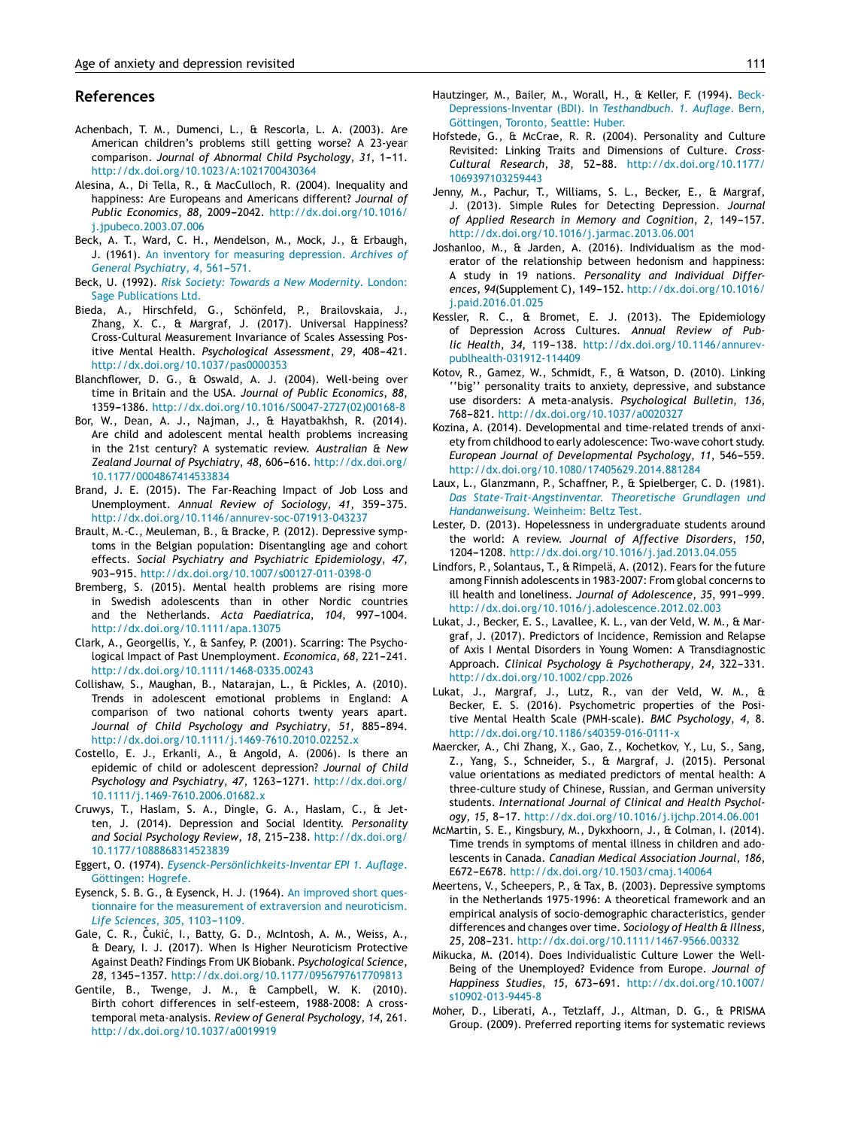#### <span id="page-9-0"></span>**References**

- Achenbach, T. M., Dumenci, L., & Rescorla, L. A. (2003). Are American children's problems still getting worse? A 23-year comparison. Journal of Abnormal Child Psychology, 31, 1-11. [http://dx.doi.org/10.1023/A:1021700430364](dx.doi.org/10.1023/A:1021700430364)
- Alesina, A., Di Tella, R., & MacCulloch, R. (2004). Inequality and happiness: Are Europeans and Americans different? *Journal of* Public *Economics*, 88, 2009-2042. [http://dx.doi.org/10.1016/](dx.doi.org/10.1016/j.jpubeco.2003.07.006) [j.jpubeco.2003.07.006](dx.doi.org/10.1016/j.jpubeco.2003.07.006)
- Beck, A. T., Ward, C. H., Mendelson, M., Mock, J., & Erbaugh, J. (1961). [An](http://refhub.elsevier.com/S1697-2600(18)30005-X/sbref0015) [inventory](http://refhub.elsevier.com/S1697-2600(18)30005-X/sbref0015) [for](http://refhub.elsevier.com/S1697-2600(18)30005-X/sbref0015) [measuring](http://refhub.elsevier.com/S1697-2600(18)30005-X/sbref0015) [depression.](http://refhub.elsevier.com/S1697-2600(18)30005-X/sbref0015) *[Archives](http://refhub.elsevier.com/S1697-2600(18)30005-X/sbref0015) [of](http://refhub.elsevier.com/S1697-2600(18)30005-X/sbref0015) [General](http://refhub.elsevier.com/S1697-2600(18)30005-X/sbref0015) [Psychiatry](http://refhub.elsevier.com/S1697-2600(18)30005-X/sbref0015)*[,](http://refhub.elsevier.com/S1697-2600(18)30005-X/sbref0015) [4](http://refhub.elsevier.com/S1697-2600(18)30005-X/sbref0015), [561](http://refhub.elsevier.com/S1697-2600(18)30005-X/sbref0015)-[571.](http://refhub.elsevier.com/S1697-2600(18)30005-X/sbref0015)
- Beck, U. (1992). *[Risk](http://refhub.elsevier.com/S1697-2600(18)30005-X/sbref0020) [Society:](http://refhub.elsevier.com/S1697-2600(18)30005-X/sbref0020) [Towards](http://refhub.elsevier.com/S1697-2600(18)30005-X/sbref0020) [a](http://refhub.elsevier.com/S1697-2600(18)30005-X/sbref0020) [New](http://refhub.elsevier.com/S1697-2600(18)30005-X/sbref0020) [Modernity](http://refhub.elsevier.com/S1697-2600(18)30005-X/sbref0020)*[.](http://refhub.elsevier.com/S1697-2600(18)30005-X/sbref0020) [London:](http://refhub.elsevier.com/S1697-2600(18)30005-X/sbref0020) [Sage](http://refhub.elsevier.com/S1697-2600(18)30005-X/sbref0020) [Publications](http://refhub.elsevier.com/S1697-2600(18)30005-X/sbref0020) [Ltd.](http://refhub.elsevier.com/S1697-2600(18)30005-X/sbref0020)
- Bieda, A., Hirschfeld, G., Schönfeld, P., Brailovskaia, J., Zhang, X. C., & Margraf, J. (2017). Universal Happiness? Cross-Cultural Measurement Invariance of Scales Assessing Positive Mental Health. Psychological Assessment, 29, 408-421. [http://dx.doi.org/10.1037/pas0000353](dx.doi.org/10.1037/pas0000353)
- Blanchflower, D. G., & Oswald, A. J. (2004). Well-being over time in Britain and the USA. *Journal of Public Economics*, *88*, 1359-1386. [http://dx.doi.org/10.1016/S0047-2727\(02\)00168-8](dx.doi.org/10.1016/S0047-2727(02)00168-8)
- Bor, W., Dean, A. J., Najman, J., & Hayatbakhsh, R. (2014). Are child and adolescent mental health problems increasing in the 21st century? A systematic review. *Australian & New* Zealand Journal of Psychiatry, 48, 606-616. [http://dx.doi.org/](dx.doi.org/10.1177/0004867414533834) [10.1177/0004867414533834](dx.doi.org/10.1177/0004867414533834)
- Brand, J. E. (2015). The Far-Reaching Impact of Job Loss and Unemployment. Annual Review of Sociology, 41, 359-375. [http://dx.doi.org/10.1146/annurev-soc-071913-043237](dx.doi.org/10.1146/annurev-soc-071913-043237)
- Brault, M.-C., Meuleman, B., & Bracke, P. (2012). Depressive symptoms in the Belgian population: Disentangling age and cohort effects. *Social Psychiatry and Psychiatric Epidemiology*, *47*, 903-915. [http://dx.doi.org/10.1007/s00127-011-0398-0](dx.doi.org/10.1007/s00127-011-0398-0)
- Bremberg, S. (2015). Mental health problems are rising more in Swedish adolescents than in other Nordic countries and the Netherlands. Acta Paediatrica, 104, 997-1004. [http://dx.doi.org/10.1111/apa.13075](dx.doi.org/10.1111/apa.13075)
- Clark, A., Georgellis, Y., & Sanfey, P. (2001). Scarring: The Psychological Impact of Past Unemployment. *Economica*, 68, 221-241. [http://dx.doi.org/10.1111/1468-0335.00243](dx.doi.org/10.1111/1468-0335.00243)
- Collishaw, S., Maughan, B., Natarajan, L., & Pickles, A. (2010). Trends in adolescent emotional problems in England: A comparison of two national cohorts twenty years apart. *Journal of Child Psychology and Psychiatry, 51, 885-894.* [http://dx.doi.org/10.1111/j.1469-7610.2010.02252.x](dx.doi.org/10.1111/j.1469-7610.2010.02252.x)
- Costello, E. J., Erkanli, A., & Angold, A. (2006). Is there an epidemic of child or adolescent depression? *Journal of Child* Psychology and Psychiatry, 47, 1263-1271. [http://dx.doi.org/](dx.doi.org/10.1111/j.1469-7610.2006.01682.x) [10.1111/j.1469-7610.2006.01682.x](dx.doi.org/10.1111/j.1469-7610.2006.01682.x)
- Cruwys, T., Haslam, S. A., Dingle, G. A., Haslam, C., & Jetten, J. (2014). Depression and Social Identity. *Personality* and Social Psychology Review, 18, 215-238. [http://dx.doi.org/](dx.doi.org/10.1177/1088868314523839) [10.1177/1088868314523839](dx.doi.org/10.1177/1088868314523839)
- Eggert, O. (1974). *[Eysenck-Persönlichkeits-Inventar](http://refhub.elsevier.com/S1697-2600(18)30005-X/sbref0075) [EPI](http://refhub.elsevier.com/S1697-2600(18)30005-X/sbref0075) [1.](http://refhub.elsevier.com/S1697-2600(18)30005-X/sbref0075) [Auflage](http://refhub.elsevier.com/S1697-2600(18)30005-X/sbref0075)*[.](http://refhub.elsevier.com/S1697-2600(18)30005-X/sbref0075) [Göttingen:](http://refhub.elsevier.com/S1697-2600(18)30005-X/sbref0075) [Hogrefe.](http://refhub.elsevier.com/S1697-2600(18)30005-X/sbref0075)
- Eysenck, S. B. G., & Eysenck, H. J. (1964). [An](http://refhub.elsevier.com/S1697-2600(18)30005-X/sbref0080) [improved](http://refhub.elsevier.com/S1697-2600(18)30005-X/sbref0080) [short](http://refhub.elsevier.com/S1697-2600(18)30005-X/sbref0080) [ques](http://refhub.elsevier.com/S1697-2600(18)30005-X/sbref0080)[tionnaire](http://refhub.elsevier.com/S1697-2600(18)30005-X/sbref0080) [for](http://refhub.elsevier.com/S1697-2600(18)30005-X/sbref0080) [the](http://refhub.elsevier.com/S1697-2600(18)30005-X/sbref0080) [measurement](http://refhub.elsevier.com/S1697-2600(18)30005-X/sbref0080) [of](http://refhub.elsevier.com/S1697-2600(18)30005-X/sbref0080) [extraversion](http://refhub.elsevier.com/S1697-2600(18)30005-X/sbref0080) [and](http://refhub.elsevier.com/S1697-2600(18)30005-X/sbref0080) [neuroticism.](http://refhub.elsevier.com/S1697-2600(18)30005-X/sbref0080) *[Life](http://refhub.elsevier.com/S1697-2600(18)30005-X/sbref0080) [Sciences](http://refhub.elsevier.com/S1697-2600(18)30005-X/sbref0080)*[,](http://refhub.elsevier.com/S1697-2600(18)30005-X/sbref0080) [305](http://refhub.elsevier.com/S1697-2600(18)30005-X/sbref0080), 1103-1109.
- Gale, C. R., Cukić, I., Batty, G. D., McIntosh, A. M., Weiss, A., & Deary, I. J. (2017). When Is Higher Neuroticism Protective Against Death? Findings From UK Biobank. *Psychological Science*, 28, 1345-1357. [http://dx.doi.org/10.1177/0956797617709813](dx.doi.org/10.1177/0956797617709813)
- Gentile, B., Twenge, J. M., & Campbell, W. K. (2010). Birth cohort differences in self-esteem, 1988-2008: A crosstemporal meta-analysis. *Review of General Psychology*, *14*, 261. [http://dx.doi.org/10.1037/a0019919](dx.doi.org/10.1037/a0019919)
- Hautzinger, M., Bailer, M., Worall, H., & Keller, F. (1994). [Beck-](http://refhub.elsevier.com/S1697-2600(18)30005-X/sbref0095)[Depressions-Inventar](http://refhub.elsevier.com/S1697-2600(18)30005-X/sbref0095) [\(BDI\).](http://refhub.elsevier.com/S1697-2600(18)30005-X/sbref0095) [In](http://refhub.elsevier.com/S1697-2600(18)30005-X/sbref0095) *[Testhandbuch.](http://refhub.elsevier.com/S1697-2600(18)30005-X/sbref0095) [1.](http://refhub.elsevier.com/S1697-2600(18)30005-X/sbref0095) [Auflage](http://refhub.elsevier.com/S1697-2600(18)30005-X/sbref0095)*[.](http://refhub.elsevier.com/S1697-2600(18)30005-X/sbref0095) [Bern,](http://refhub.elsevier.com/S1697-2600(18)30005-X/sbref0095) [Göttingen,](http://refhub.elsevier.com/S1697-2600(18)30005-X/sbref0095) [Toronto,](http://refhub.elsevier.com/S1697-2600(18)30005-X/sbref0095) [Seattle:](http://refhub.elsevier.com/S1697-2600(18)30005-X/sbref0095) [Huber.](http://refhub.elsevier.com/S1697-2600(18)30005-X/sbref0095)
- Hofstede, G., & McCrae, R. R. (2004). Personality and Culture Revisited: Linking Traits and Dimensions of Culture. *Cross-Cultural Research*, *38*, 52---88. [http://dx.doi.org/10.1177/](dx.doi.org/10.1177/1069397103259443) [1069397103259443](dx.doi.org/10.1177/1069397103259443)
- Jenny, M., Pachur, T., Williams, S. L., Becker, E., & Margraf, J. (2013). Simple Rules for Detecting Depression. *Journal of Applied Research in Memory and Cognition*, 2, 149-157. [http://dx.doi.org/10.1016/j.jarmac.2013.06.001](dx.doi.org/10.1016/j.jarmac.2013.06.001)
- Joshanloo, M., & Jarden, A. (2016). Individualism as the moderator of the relationship between hedonism and happiness: A study in 19 nations. *Personality and Individual Differ*ences, 94(Supplement C), 149-152. [http://dx.doi.org/10.1016/](dx.doi.org/10.1016/j.paid.2016.01.025) [j.paid.2016.01.025](dx.doi.org/10.1016/j.paid.2016.01.025)
- Kessler, R. C., & Bromet, E. J. (2013). The Epidemiology of Depression Across Cultures. *Annual Review of Public Health*, 34, 119-138. [http://dx.doi.org/10.1146/annurev](dx.doi.org/10.1146/annurev-publhealth-031912-114409)[publhealth-031912-114409](dx.doi.org/10.1146/annurev-publhealth-031912-114409)
- Kotov, R., Gamez, W., Schmidt, F., & Watson, D. (2010). Linking ''big'' personality traits to anxiety, depressive, and substance use disorders: A meta-analysis. *Psychological Bulletin*, *136*, 768-821. [http://dx.doi.org/10.1037/a0020327](dx.doi.org/10.1037/a0020327)
- Kozina, A. (2014). Developmental and time-related trends of anxiety from childhood to early adolescence: Two-wave cohort study. *European Journal of Developmental Psychology, 11, 546-559.* [http://dx.doi.org/10.1080/17405629.2014.881284](dx.doi.org/10.1080/17405629.2014.881284)
- Laux, L., Glanzmann, P., Schaffner, P., & Spielberger, C. D. (1981). *[Das](http://refhub.elsevier.com/S1697-2600(18)30005-X/sbref0130) [State-Trait-Angstinventar.](http://refhub.elsevier.com/S1697-2600(18)30005-X/sbref0130) [Theoretische](http://refhub.elsevier.com/S1697-2600(18)30005-X/sbref0130) [Grundlagen](http://refhub.elsevier.com/S1697-2600(18)30005-X/sbref0130) [und](http://refhub.elsevier.com/S1697-2600(18)30005-X/sbref0130) [Handanweisung](http://refhub.elsevier.com/S1697-2600(18)30005-X/sbref0130)*[.](http://refhub.elsevier.com/S1697-2600(18)30005-X/sbref0130) [Weinheim:](http://refhub.elsevier.com/S1697-2600(18)30005-X/sbref0130) [Beltz](http://refhub.elsevier.com/S1697-2600(18)30005-X/sbref0130) [Test.](http://refhub.elsevier.com/S1697-2600(18)30005-X/sbref0130)
- Lester, D. (2013). Hopelessness in undergraduate students around the world: A review. *Journal of Affective Disorders*, *150*, 1204-1208. [http://dx.doi.org/10.1016/j.jad.2013.04.055](dx.doi.org/10.1016/j.jad.2013.04.055)
- Lindfors, P., Solantaus, T., & Rimpelä, A. (2012). Fears for the future among Finnish adolescents in 1983-2007: From global concerns to ill health and loneliness. Journal of Adolescence, 35, 991-999. [http://dx.doi.org/10.1016/j.adolescence.2012.02.003](dx.doi.org/10.1016/j.adolescence.2012.02.003)
- Lukat, J., Becker, E. S., Lavallee, K. L., van der Veld, W. M., & Margraf, J. (2017). Predictors of Incidence, Remission and Relapse of Axis I Mental Disorders in Young Women: A Transdiagnostic Approach. *Clinical Psychology & Psychotherapy*, *24*, 322---331. [http://dx.doi.org/10.1002/cpp.2026](dx.doi.org/10.1002/cpp.2026)
- Lukat, J., Margraf, J., Lutz, R., van der Veld, W. M., & Becker, E. S. (2016). Psychometric properties of the Positive Mental Health Scale (PMH-scale). *BMC Psychology*, *4*, 8. [http://dx.doi.org/10.1186/s40359-016-0111-x](dx.doi.org/10.1186/s40359-016-0111-x)
- Maercker, A., Chi Zhang, X., Gao, Z., Kochetkov, Y., Lu, S., Sang, Z., Yang, S., Schneider, S., & Margraf, J. (2015). Personal value orientations as mediated predictors of mental health: A three-culture study of Chinese, Russian, and German university students. *International Journal of Clinical and Health Psychology*, 15, 8-17. [http://dx.doi.org/10.1016/j.ijchp.2014.06.001](dx.doi.org/10.1016/j.ijchp.2014.06.001)
- McMartin, S. E., Kingsbury, M., Dykxhoorn, J., & Colman, I. (2014). Time trends in symptoms of mental illness in children and adolescents in Canada. *Canadian Medical Association Journal*, *186*, E672-E678. [http://dx.doi.org/10.1503/cmaj.140064](dx.doi.org/10.1503/cmaj.140064)
- Meertens, V., Scheepers, P., & Tax, B. (2003). Depressive symptoms in the Netherlands 1975-1996: A theoretical framework and an empirical analysis of socio-demographic characteristics, gender differences and changes over time. *Sociology of Health & Illness*, 25, 208-231. [http://dx.doi.org/10.1111/1467-9566.00332](dx.doi.org/10.1111/1467-9566.00332)
- Mikucka, M. (2014). Does Individualistic Culture Lower the Well-Being of the Unemployed? Evidence from Europe. *Journal of Happiness Studies*, *15*, 673---691. [http://dx.doi.org/10.1007/](dx.doi.org/10.1007/s10902-013-9445-8) [s10902-013-9445-8](dx.doi.org/10.1007/s10902-013-9445-8)
- Moher, D., Liberati, A., Tetzlaff, J., Altman, D. G., & PRISMA Group. (2009). Preferred reporting items for systematic reviews